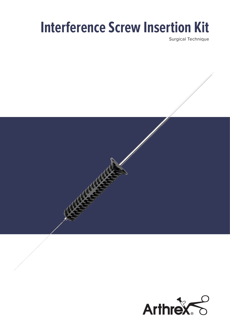## **Interference Screw Insertion Kit**

Surgical Technique

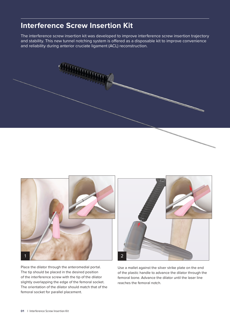## **Interference Screw Insertion Kit**

The interference screw insertion kit was developed to improve interference screw insertion trajectory and stability. This new tunnel notching system is offered as a disposable kit to improve convenience and reliability during anterior cruciate ligament (ACL) reconstruction.



Place the dilator through the anteromedial portal. The tip should be placed in the desired position of the interference screw with the tip of the dilator slightly overlapping the edge of the femoral socket. The orientation of the dilator should match that of the femoral socket for parallel placement.



Use a mallet against the silver strike plate on the end of the plastic handle to advance the dilator through the femoral bone. Advance the dilator until the laser line reaches the femoral notch.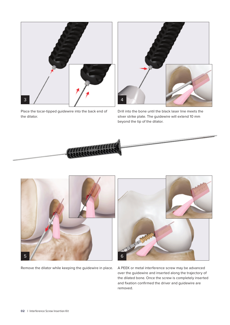

Place the tocar-tipped guidewire into the back end of the dilator.



Drill into the bone until the black laser line meets the silver strike plate. The guidewire will extend 10 mm beyond the tip of the dilator.





Remove the dilator while keeping the guidewire in place.



A PEEK or metal interference screw may be advanced over the guidewire and inserted along the trajectory of the dilated bone. Once the screw is completely inserted and fixation confirmed the driver and guidewire are removed.